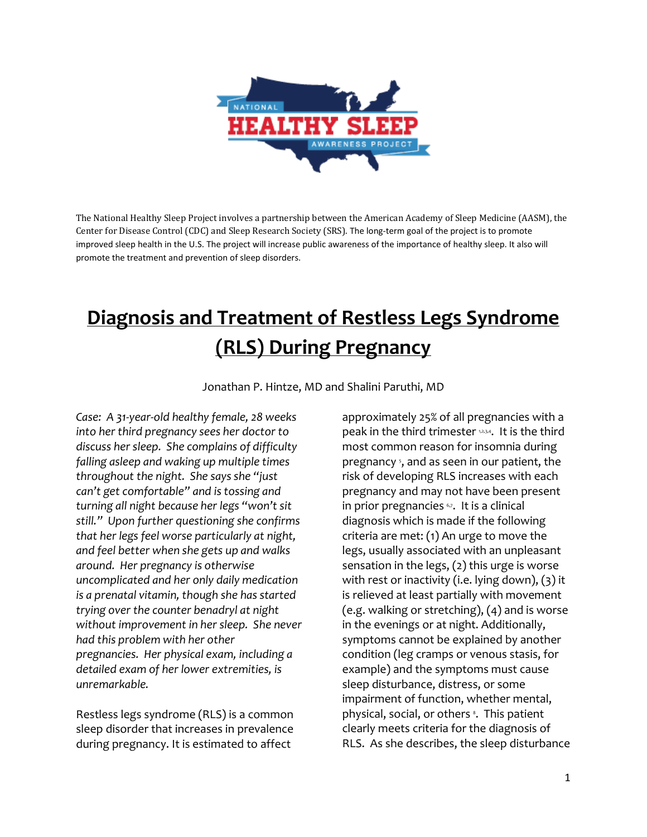

The National Healthy Sleep Project involves a partnership between the American Academy of Sleep Medicine (AASM), the Center for Disease Control (CDC) and Sleep Research Society (SRS). The long-term goal of the project is to promote improved sleep health in the U.S. The project will increase public awareness of the importance of healthy sleep. It also will promote the treatment and prevention of sleep disorders.

## **Diagnosis and Treatment of Restless Legs Syndrome (RLS) During Pregnancy**

Jonathan P. Hintze, MD and Shalini Paruthi, MD

*Case: A 31-year-old healthy female, 28 weeks into her third pregnancy sees her doctor to discuss her sleep. She complains of difficulty falling asleep and waking up multiple times throughout the night. She says she "just can't get comfortable" and is tossing and turning all night because her legs "won't sit still." Upon further questioning she confirms that her legs feel worse particularly at night, and feel better when she gets up and walks around. Her pregnancy is otherwise uncomplicated and her only daily medication is a prenatal vitamin, though she has started trying over the counter benadryl at night without improvement in her sleep. She never had this problem with her other pregnancies. Her physical exam, including a detailed exam of her lower extremities, is unremarkable.*

Restless legs syndrome (RLS) is a common sleep disorder that increases in prevalence during pregnancy. It is estimated to affect

approximately 25% of all pregnancies with a peak in the third trimester 1,2,3,4. It is the third most common reason for insomnia during pregnancy <sup>5</sup>, and as seen in our patient, the risk of developing RLS increases with each pregnancy and may not have been present in prior pregnancies 67. It is a clinical diagnosis which is made if the following criteria are met: (1) An urge to move the legs, usually associated with an unpleasant sensation in the legs, (2) this urge is worse with rest or inactivity (i.e. lying down), (3) it is relieved at least partially with movement (e.g. walking or stretching), (4) and is worse in the evenings or at night. Additionally, symptoms cannot be explained by another condition (leg cramps or venous stasis, for example) and the symptoms must cause sleep disturbance, distress, or some impairment of function, whether mental, physical, social, or others<sup>8</sup>. This patient clearly meets criteria for the diagnosis of RLS. As she describes, the sleep disturbance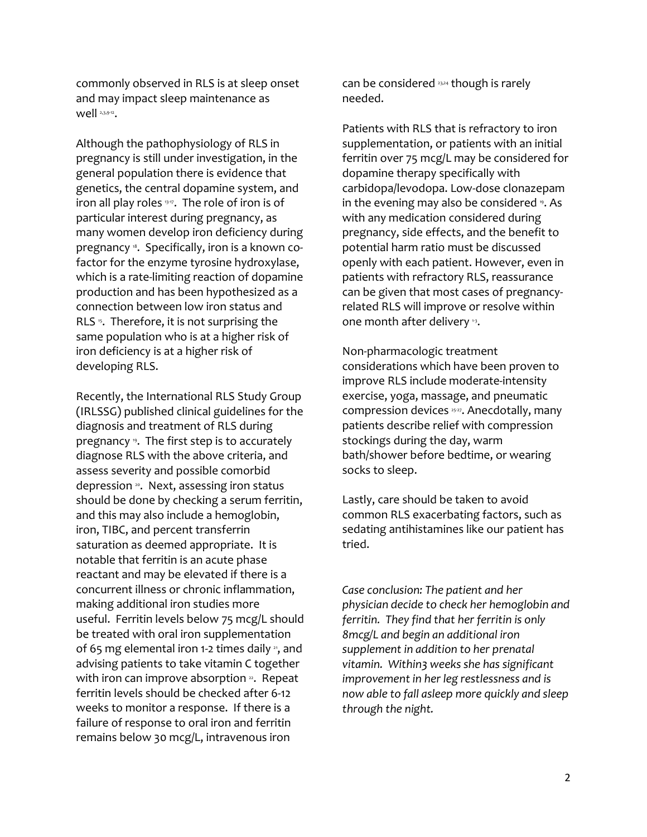commonly observed in RLS is at sleep onset and may impact sleep maintenance as well 2,3,9-12.

Although the pathophysiology of RLS in pregnancy is still under investigation, in the general population there is evidence that genetics, the central dopamine system, and iron all play roles  $337$ . The role of iron is of particular interest during pregnancy, as many women develop iron deficiency during pregnancy <sup>8</sup>. Specifically, iron is a known cofactor for the enzyme tyrosine hydroxylase, which is a rate-limiting reaction of dopamine production and has been hypothesized as a connection between low iron status and RLS <sup>5</sup>. Therefore, it is not surprising the same population who is at a higher risk of iron deficiency is at a higher risk of developing RLS.

Recently, the International RLS Study Group (IRLSSG) published clinical guidelines for the diagnosis and treatment of RLS during pregnancy <sup>9</sup>. The first step is to accurately diagnose RLS with the above criteria, and assess severity and possible comorbid depression <sup>20</sup>. Next, assessing iron status should be done by checking a serum ferritin, and this may also include a hemoglobin, iron, TIBC, and percent transferrin saturation as deemed appropriate. It is notable that ferritin is an acute phase reactant and may be elevated if there is a concurrent illness or chronic inflammation, making additional iron studies more useful. Ferritin levels below 75 mcg/L should be treated with oral iron supplementation of 65 mg elemental iron 1-2 times daily  $\alpha$ , and advising patients to take vitamin C together with iron can improve absorption  $22$ . Repeat ferritin levels should be checked after 6-12 weeks to monitor a response. If there is a failure of response to oral iron and ferritin remains below 30 mcg/L, intravenous iron

can be considered 23,24 though is rarely needed.

Patients with RLS that is refractory to iron supplementation, or patients with an initial ferritin over 75 mcg/L may be considered for dopamine therapy specifically with carbidopa/levodopa. Low-dose clonazepam in the evening may also be considered <sup>9</sup>. As with any medication considered during pregnancy, side effects, and the benefit to potential harm ratio must be discussed openly with each patient. However, even in patients with refractory RLS, reassurance can be given that most cases of pregnancyrelated RLS will improve or resolve within one month after delivery <sup>13</sup>.

Non-pharmacologic treatment considerations which have been proven to improve RLS include moderate-intensity exercise, yoga, massage, and pneumatic compression devices 25-27. Anecdotally, many patients describe relief with compression stockings during the day, warm bath/shower before bedtime, or wearing socks to sleep.

Lastly, care should be taken to avoid common RLS exacerbating factors, such as sedating antihistamines like our patient has tried.

*Case conclusion: The patient and her physician decide to check her hemoglobin and ferritin. They find that her ferritin is only 8mcg/L and begin an additional iron supplement in addition to her prenatal vitamin. Within3 weeks she has significant improvement in her leg restlessness and is now able to fall asleep more quickly and sleep through the night.*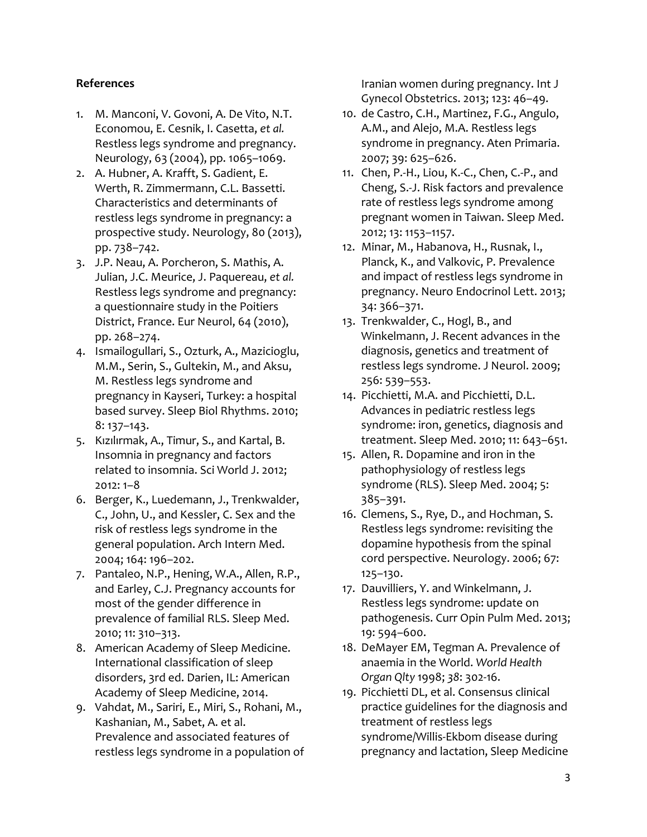## **References**

- 1. M. Manconi, V. Govoni, A. De Vito, N.T. Economou, E. Cesnik, I. Casetta, *et al.*  Restless legs syndrome and pregnancy. Neurology, 63 (2004), pp. 1065–1069.
- 2. A. Hubner, A. Krafft, S. Gadient, E. Werth, R. Zimmermann, C.L. Bassetti. Characteristics and determinants of restless legs syndrome in pregnancy: a prospective study. Neurology, 80 (2013), pp. 738–742.
- 3. J.P. Neau, A. Porcheron, S. Mathis, A. Julian, J.C. Meurice, J. Paquereau, *et al.*  Restless legs syndrome and pregnancy: a questionnaire study in the Poitiers District, France. Eur Neurol, 64 (2010), pp. 268–274.
- 4. Ismailogullari, S., Ozturk, A., Mazicioglu, M.M., Serin, S., Gultekin, M., and Aksu, M. Restless legs syndrome and pregnancy in Kayseri, Turkey: a hospital based survey. Sleep Biol Rhythms. 2010; 8: 137–143.
- 5. Kızılırmak, A., Timur, S., and Kartal, B. Insomnia in pregnancy and factors related to insomnia. Sci World J. 2012; 2012: 1–8
- 6. Berger, K., Luedemann, J., Trenkwalder, C., John, U., and Kessler, C. Sex and the risk of restless legs syndrome in the general population. Arch Intern Med. 2004; 164: 196–202.
- 7. Pantaleo, N.P., Hening, W.A., Allen, R.P., and Earley, C.J. Pregnancy accounts for most of the gender difference in prevalence of familial RLS. Sleep Med. 2010; 11: 310–313.
- 8. American Academy of Sleep Medicine. International classification of sleep disorders, 3rd ed. Darien, IL: American Academy of Sleep Medicine, 2014.
- 9. Vahdat, M., Sariri, E., Miri, S., Rohani, M., Kashanian, M., Sabet, A. et al. Prevalence and associated features of restless legs syndrome in a population of

Iranian women during pregnancy. Int J Gynecol Obstetrics. 2013; 123: 46–49.

- 10. de Castro, C.H., Martinez, F.G., Angulo, A.M., and Alejo, M.A. Restless legs syndrome in pregnancy. Aten Primaria. 2007; 39: 625–626.
- 11. Chen, P.-H., Liou, K.-C., Chen, C.-P., and Cheng, S.-J. Risk factors and prevalence rate of restless legs syndrome among pregnant women in Taiwan. Sleep Med. 2012; 13: 1153–1157.
- 12. Minar, M., Habanova, H., Rusnak, I., Planck, K., and Valkovic, P. Prevalence and impact of restless legs syndrome in pregnancy. Neuro Endocrinol Lett. 2013; 34: 366–371.
- 13. Trenkwalder, C., Hogl, B., and Winkelmann, J. Recent advances in the diagnosis, genetics and treatment of restless legs syndrome. J Neurol. 2009; 256: 539–553.
- 14. Picchietti, M.A. and Picchietti, D.L. Advances in pediatric restless legs syndrome: iron, genetics, diagnosis and treatment. Sleep Med. 2010; 11: 643–651.
- 15. Allen, R. Dopamine and iron in the pathophysiology of restless legs syndrome (RLS). Sleep Med. 2004; 5: 385–391.
- 16. Clemens, S., Rye, D., and Hochman, S. Restless legs syndrome: revisiting the dopamine hypothesis from the spinal cord perspective. Neurology. 2006; 67: 125–130.
- 17. Dauvilliers, Y. and Winkelmann, J. Restless legs syndrome: update on pathogenesis. Curr Opin Pulm Med. 2013; 19: 594–600.
- 18. DeMayer EM, Tegman A. Prevalence of anaemia in the World. *World Health Organ Qlty* 1998; *38*: 302-16.
- 19. Picchietti DL, et al. Consensus clinical practice guidelines for the diagnosis and treatment of restless legs syndrome/Willis-Ekbom disease during pregnancy and lactation, Sleep Medicine